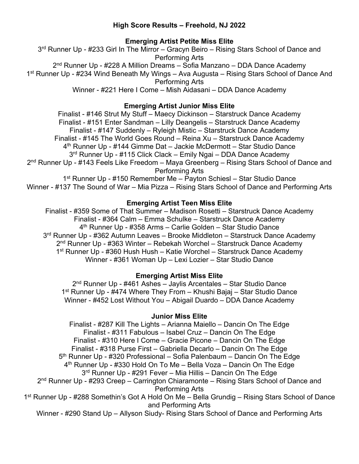## **High Score Results – Freehold, NJ 2022**

## **Emerging Artist Petite Miss Elite**

3<sup>rd</sup> Runner Up - #233 Girl In The Mirror – Gracyn Beiro – Rising Stars School of Dance and Performing Arts 2<sup>nd</sup> Runner Up - #228 A Million Dreams - Sofia Manzano - DDA Dance Academy 1st Runner Up - #234 Wind Beneath My Wings – Ava Augusta – Rising Stars School of Dance And Performing Arts Winner - #221 Here I Come – Mish Aidasani – DDA Dance Academy

## **Emerging Artist Junior Miss Elite**

Finalist - #146 Strut My Stuff – Maecy Dickinson – Starstruck Dance Academy Finalist - #151 Enter Sandman – Lilly Deangelis – Starstruck Dance Academy Finalist - #147 Suddenly – Ryleigh Mistic – Starstruck Dance Academy Finalist - #145 The World Goes Round – Reina Xu – Starstruck Dance Academy 4th Runner Up - #144 Gimme Dat – Jackie McDermott – Star Studio Dance 3<sup>rd</sup> Runner Up - #115 Click Clack – Emily Ngai – DDA Dance Academy 2nd Runner Up - #143 Feels Like Freedom – Maya Greenberg – Rising Stars School of Dance and Performing Arts 1st Runner Up - #150 Remember Me – Payton Schiesl – Star Studio Dance Winner - #137 The Sound of War – Mia Pizza – Rising Stars School of Dance and Performing Arts

## **Emerging Artist Teen Miss Elite**

Finalist - #359 Some of That Summer – Madison Rosetti – Starstruck Dance Academy Finalist - #364 Calm – Emma Schulke – Starstruck Dance Academy 4th Runner Up - #358 Arms – Carlie Golden – Star Studio Dance 3<sup>rd</sup> Runner Up - #362 Autumn Leaves - Brooke Middleton - Starstruck Dance Academy 2nd Runner Up - #363 Winter – Rebekah Worchel – Starstruck Dance Academy 1st Runner Up - #360 Hush Hush – Katie Worchel – Starstruck Dance Academy Winner - #361 Woman Up – Lexi Lozier – Star Studio Dance

# **Emerging Artist Miss Elite**

2nd Runner Up - #461 Ashes – Jaylis Arcentales – Star Studio Dance 1st Runner Up - #474 Where They From – Khushi Bajaj – Star Studio Dance Winner - #452 Lost Without You – Abigail Duardo – DDA Dance Academy

## **Junior Miss Elite**

Finalist - #287 Kill The Lights – Arianna Maiello – Dancin On The Edge Finalist - #311 Fabulous – Isabel Cruz – Dancin On The Edge Finalist - #310 Here I Come – Gracie Picone – Dancin On The Edge Finalist - #318 Purse First – Gabriella Decarlo – Dancin On The Edge 5<sup>th</sup> Runner Up - #320 Professional – Sofia Palenbaum – Dancin On The Edge  $4<sup>th</sup>$  Runner Up - #330 Hold On To Me – Bella Voza – Dancin On The Edge 3rd Runner Up - #291 Fever – Mia Hillis – Dancin On The Edge 2<sup>nd</sup> Runner Up - #293 Creep – Carrington Chiaramonte – Rising Stars School of Dance and Performing Arts 1st Runner Up - #288 Somethin's Got A Hold On Me – Bella Grundig – Rising Stars School of Dance and Performing Arts

Winner - #290 Stand Up – Allyson Siudy- Rising Stars School of Dance and Performing Arts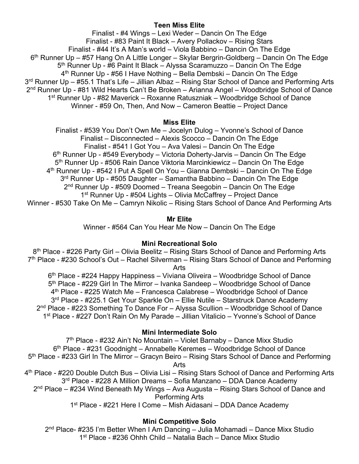## **Teen Miss Elite**

Finalist - #4 Wings – Lexi Weder – Dancin On The Edge Finalist - #83 Paint It Black – Avery Pollackov – Rising Stars Finalist - #44 It's A Man's world – Viola Babbino – Dancin On The Edge 6<sup>th</sup> Runner Up – #57 Hang On A Little Longer – Skylar Bergrin-Goldberg – Dancin On The Edge 5<sup>th</sup> Runner Up - #6 Paint It Black – Alyssa Scaramuzzo – Dancin On The Edge 4<sup>th</sup> Runner Up - #56 I Have Nothing – Bella Dembski – Dancin On The Edge 3<sup>rd</sup> Runner Up – #55.1 That's Life – Jillian Albaz – Rising Star School of Dance and Performing Arts 2nd Runner Up - #81 Wild Hearts Can't Be Broken – Arianna Angel – Woodbridge School of Dance 1<sup>st</sup> Runner Up - #82 Maverick – Roxanne Ratuszniak – Woodbridge School of Dance Winner - #59 On, Then, And Now – Cameron Beattie – Project Dance

#### **Miss Elite**

Finalist - #539 You Don't Own Me – Jocelyn Dulog – Yvonne's School of Dance Finalist – Disconnected – Alexis Scocco – Dancin On The Edge Finalist - #541 I Got You – Ava Valesi – Dancin On The Edge  $6<sup>th</sup>$  Runner Up - #549 Everybody – Victoria Doherty-Jarvis – Dancin On The Edge 5<sup>th</sup> Runner Up - #506 Rain Dance Viktoria Marcinkiewicz – Dancin On The Edge 4<sup>th</sup> Runner Up - #542 I Put A Spell On You – Gianna Dembski – Dancin On The Edge 3<sup>rd</sup> Runner Up - #505 Daughter – Samantha Babbino – Dancin On The Edge  $2<sup>nd</sup>$  Runner Up - #509 Doomed – Treana Seegobin – Dancin On The Edge 1<sup>st</sup> Runner Up - #504 Lights – Olivia McCaffrey – Project Dance Winner - #530 Take On Me – Camryn Nikolic – Rising Stars School of Dance And Performing Arts

### **Mr Elite**

Winner - #564 Can You Hear Me Now – Dancin On The Edge

### **Mini Recreational Solo**

8<sup>th</sup> Place - #226 Party Girl – Olivia Beelitz – Rising Stars School of Dance and Performing Arts 7<sup>th</sup> Place - #230 School's Out – Rachel Silverman – Rising Stars School of Dance and Performing Arts

6<sup>th</sup> Place - #224 Happy Happiness – Viviana Oliveira – Woodbridge School of Dance 5th Place - #229 Girl In The Mirror – Ivanka Sandeep – Woodbridge School of Dance 4th Place - #225 Watch Me – Francesca Calabrese – Woodbridge School of Dance 3<sup>rd</sup> Place - #225.1 Get Your Sparkle On – Ellie Nutile – Starstruck Dance Academy 2nd Place - #223 Something To Dance For – Alyssa Scullion – Woodbridge School of Dance 1st Place - #227 Don't Rain On My Parade – Jillian Vitalicio – Yvonne's School of Dance

### **Mini Intermediate Solo**

7<sup>th</sup> Place - #232 Ain't No Mountain – Violet Barnaby – Dance Mixx Studio 6th Place - #231 Goodnight – Annabelle Keremes – Woodbridge School of Dance 5<sup>th</sup> Place - #233 Girl In The Mirror – Gracyn Beiro – Rising Stars School of Dance and Performing Arts 4th Place - #220 Double Dutch Bus – Olivia Lisi – Rising Stars School of Dance and Performing Arts 3rd Place - #228 A Million Dreams – Sofia Manzano – DDA Dance Academy  $2<sup>nd</sup>$  Place – #234 Wind Beneath My Wings – Ava Augusta – Rising Stars School of Dance and

Performing Arts

1st Place - #221 Here I Come – Mish Aidasani – DDA Dance Academy

## **Mini Competitive Solo**

2nd Place- #235 I'm Better When I Am Dancing – Julia Mohamadi – Dance Mixx Studio 1st Place - #236 Ohhh Child – Natalia Bach – Dance Mixx Studio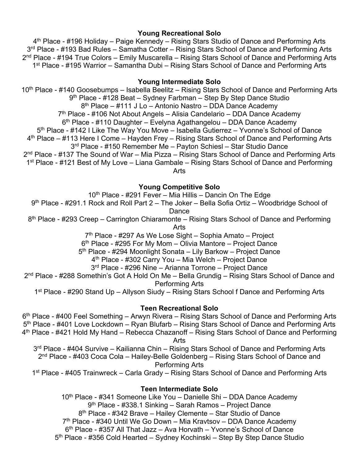### **Young Recreational Solo**

4th Place - #196 Holiday – Paige Kennedy – Rising Stars Studio of Dance and Performing Arts 3<sup>rd</sup> Place - #193 Bad Rules – Samatha Cotter – Rising Stars School of Dance and Performing Arts 2<sup>nd</sup> Place - #194 True Colors – Emily Muscarella – Rising Stars School of Dance and Performing Arts 1st Place - #195 Warrior – Samantha Dubi – Rising Stars School of Dance and Performing Arts

### **Young Intermediate Solo**

10<sup>th</sup> Place - #140 Goosebumps – Isabella Beelitz – Rising Stars School of Dance and Performing Arts 9<sup>th</sup> Place - #128 Beat – Sydney Farbman – Step By Step Dance Studio 8th Place – #111 J Lo – Antonio Nastro – DDA Dance Academy 7th Place - #106 Not About Angels – Alisia Candelario – DDA Dance Academy  $6<sup>th</sup>$  Place - #110 Daughter – Evelyna Agathangelou – DDA Dance Academy 5<sup>th</sup> Place - #142 I Like The Way You Move – Isabella Gutierrez – Yvonne's School of Dance 4th Place – #113 Here I Come – Hayden Frey – Rising Stars School of Dance and Performing Arts 3rd Place - #150 Remember Me – Payton Schiesl – Star Studio Dance 2<sup>nd</sup> Place - #137 The Sound of War – Mia Pizza – Rising Stars School of Dance and Performing Arts 1<sup>st</sup> Place - #121 Best of My Love – Liana Gambale – Rising Stars School of Dance and Performing Arts

### **Young Competitive Solo**

 $10<sup>th</sup>$  Place - #291 Fever – Mia Hillis – Dancin On The Edge

9<sup>th</sup> Place - #291.1 Rock and Roll Part 2 – The Joker – Bella Sofia Ortiz – Woodbridge School of **Dance** 

8<sup>th</sup> Place - #293 Creep – Carrington Chiaramonte – Rising Stars School of Dance and Performing

Arts

7<sup>th</sup> Place - #297 As We Lose Sight – Sophia Amato – Project

 $6<sup>th</sup>$  Place - #295 For My Mom – Olivia Mantore – Project Dance

5th Place - #294 Moonlight Sonata – Lily Barkow – Project Dance

4th Place - #302 Carry You – Mia Welch – Project Dance

3rd Place - #296 Nine – Arianna Torrone – Project Dance

2nd Place - #288 Somethin's Got A Hold On Me – Bella Grundig – Rising Stars School of Dance and Performing Arts

1<sup>st</sup> Place - #290 Stand Up – Allyson Siudy – Rising Stars School f Dance and Performing Arts

### **Teen Recreational Solo**

6th Place - #400 Feel Something – Arwyn Rivera – Rising Stars School of Dance and Performing Arts 5th Place - #401 Love Lockdown – Ryan Blufarb – Rising Stars School of Dance and Performing Arts 4th Place - #421 Hold My Hand – Rebecca Chazanoff – Rising Stars School of Dance and Performing Arts

3<sup>rd</sup> Place - #404 Survive – Kailianna Chin – Rising Stars School of Dance and Performing Arts 2<sup>nd</sup> Place - #403 Coca Cola - Hailey-Belle Goldenberg - Rising Stars School of Dance and Performing Arts

1<sup>st</sup> Place - #405 Trainwreck – Carla Grady – Rising Stars School of Dance and Performing Arts

### **Teen Intermediate Solo**

10<sup>th</sup> Place - #341 Someone Like You – Danielle Shi – DDA Dance Academy 9th Place - #338.1 Sinking – Sarah Ramos – Project Dance 8th Place - #342 Brave – Hailey Clemente – Star Studio of Dance 7th Place - #340 Until We Go Down – Mia Kravtsov – DDA Dance Academy 6th Place - #357 All That Jazz – Ava Horvath – Yvonne's School of Dance 5<sup>th</sup> Place - #356 Cold Hearted – Sydney Kochinski – Step By Step Dance Studio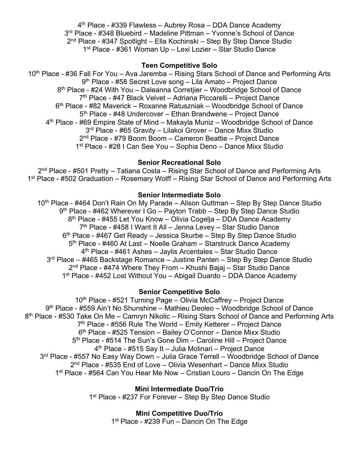4th Place - #339 Flawless – Aubrey Rosa – DDA Dance Academy 3<sup>rd</sup> Place - #348 Bluebird – Madeline Pittman – Yvonne's School of Dance 2nd Place - #347 Spotlight – Ella Kochinski – Step By Step Dance Studio 1st Place - #361 Woman Up – Lexi Lozier – Star Studio Dance

#### **Teen Competitive Solo**

10<sup>th</sup> Place - #36 Fall For You – Ava Jaremba – Rising Stars School of Dance and Performing Arts 9<sup>th</sup> Place - #58 Secret Love song – Lila Amato – Project Dance 8th Place - #24 With You – Daleanna Corretjier – Woodbridge School of Dance 7<sup>th</sup> Place - #47 Black Velvet – Adriana Piccarelli – Project Dance 6th Place - #82 Maverick – Roxanne Ratuszniak – Woodbridge School of Dance 5<sup>th</sup> Place - #48 Undercover – Ethan Brandwene – Project Dance 4th Place - #69 Empire State of Mind – Makayla Muniz – Woodbridge School of Dance 3rd Place - #65 Gravity – Lilakoi Grover – Dance Mixx Studio 2nd Place - #79 Boom Boom – Cameron Beattie – Project Dance 1st Place - #28 I Can See You – Sophia Deno – Dance Mixx Studio

#### **Senior Recreational Solo**

2nd Place - #501 Pretty – Tatiana Costa – Rising Star School of Dance and Performing Arts 1<sup>st</sup> Place - #502 Graduation – Rosemary Wolff – Rising Star School of Dance and Performing Arts

#### **Senior Intermediate Solo**

10<sup>th</sup> Place - #464 Don't Rain On My Parade – Alison Guttman – Step By Step Dance Studio 9<sup>th</sup> Place - #462 Wherever I Go – Payton Trabb – Step By Step Dance Studio 8<sup>th</sup> Place - #455 Let You Know – Olivia Cogelja – DDA Dance Academy  $7<sup>th</sup>$  Place - #458 I Want It All – Jenna Levey – Star Studio Dance 6th Place - #467 Get Ready – Jessica Skurbe – Step By Step Dance Studio 5<sup>th</sup> Place - #460 At Last – Noelle Graham – Starstruck Dance Academy 4th Place - #461 Ashes – Jaylis Arcentales – Star Studio Dance 3<sup>rd</sup> Place – #465 Backstage Romance – Justine Panten – Step By Step Dance Studio 2<sup>nd</sup> Place - #474 Where They From – Khushi Bajaj – Star Studio Dance 1<sup>st</sup> Place - #452 Lost Without You – Abigail Duardo – DDA Dance Academy

#### **Senior Competitive Solo**

 $10<sup>th</sup>$  Place - #521 Turning Page – Olivia McCaffrey – Project Dance 9th Place - #559 Ain't No Shunshine – Mathieu Deoleo – Woodbridge School of Dance 8<sup>th</sup> Place - #530 Take On Me – Camryn Nikolic – Rising Stars School of Dance and Performing Arts  $7<sup>th</sup>$  Place - #556 Rule The World – Emily Ketterer – Project Dance 6th Place - #525 Tension – Bailey O'Connor – Dance Mixx Studio 5<sup>th</sup> Place - #514 The Sun's Gone Dim – Caroline Hill – Project Dance 4th Place - #515 Say It – Julia Molinari – Project Dance 3<sup>rd</sup> Place - #557 No Easy Way Down – Julia Grace Terrell – Woodbridge School of Dance  $2<sup>nd</sup>$  Place - #535 End of Love – Olivia Wesenhart – Dance Mixx Studio 1<sup>st</sup> Place - #564 Can You Hear Me Now – Cristian Louro – Dancin On The Edge

> **Mini Intermediate Duo/Trio** 1<sup>st</sup> Place - #237 For Forever – Step By Step Dance Studio

> > **Mini Competitive Duo/Trio** 1<sup>st</sup> Place - #239 Fun – Dancin On The Edge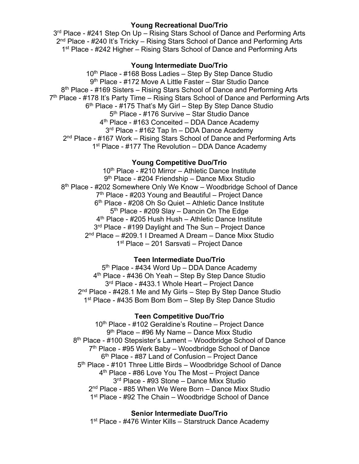### **Young Recreational Duo/Trio**

3<sup>rd</sup> Place - #241 Step On Up – Rising Stars School of Dance and Performing Arts 2<sup>nd</sup> Place - #240 It's Tricky – Rising Stars School of Dance and Performing Arts 1<sup>st</sup> Place - #242 Higher – Rising Stars School of Dance and Performing Arts

#### **Young Intermediate Duo/Trio**

10<sup>th</sup> Place - #168 Boss Ladies - Step By Step Dance Studio 9<sup>th</sup> Place - #172 Move A Little Faster – Star Studio Dance 8th Place - #169 Sisters – Rising Stars School of Dance and Performing Arts 7<sup>th</sup> Place - #178 It's Party Time – Rising Stars School of Dance and Performing Arts 6th Place - #175 That's My Girl – Step By Step Dance Studio 5<sup>th</sup> Place - #176 Survive - Star Studio Dance 4<sup>th</sup> Place - #163 Conceited – DDA Dance Academy 3<sup>rd</sup> Place - #162 Tap In – DDA Dance Academy 2<sup>nd</sup> Place - #167 Work – Rising Stars School of Dance and Performing Arts 1<sup>st</sup> Place - #177 The Revolution – DDA Dance Academy

### **Young Competitive Duo/Trio**

10<sup>th</sup> Place - #210 Mirror – Athletic Dance Institute 9<sup>th</sup> Place - #204 Friendship – Dance Mixx Studio 8<sup>th</sup> Place - #202 Somewhere Only We Know – Woodbridge School of Dance 7th Place - #203 Young and Beautiful – Project Dance 6<sup>th</sup> Place - #208 Oh So Quiet – Athletic Dance Institute 5<sup>th</sup> Place - #209 Slay – Dancin On The Edge 4<sup>th</sup> Place - #205 Hush Hush – Athletic Dance Institute 3<sup>rd</sup> Place - #199 Davlight and The Sun – Project Dance 2nd Place – #209.1 I Dreamed A Dream – Dance Mixx Studio 1st Place – 201 Sarsvati – Project Dance

### **Teen Intermediate Duo/Trio**

5<sup>th</sup> Place - #434 Word Up – DDA Dance Academy 4th Place - #436 Oh Yeah – Step By Step Dance Studio 3<sup>rd</sup> Place - #433.1 Whole Heart – Project Dance  $2<sup>nd</sup>$  Place - #428.1 Me and My Girls – Step By Step Dance Studio 1<sup>st</sup> Place - #435 Bom Bom Bom - Step By Step Dance Studio

#### **Teen Competitive Duo/Trio**

10<sup>th</sup> Place - #102 Geraldine's Routine – Project Dance 9<sup>th</sup> Place – #96 My Name – Dance Mixx Studio 8th Place - #100 Stepsister's Lament – Woodbridge School of Dance  $7<sup>th</sup>$  Place - #95 Werk Baby – Woodbridge School of Dance  $6<sup>th</sup>$  Place - #87 Land of Confusion – Project Dance 5<sup>th</sup> Place - #101 Three Little Birds – Woodbridge School of Dance 4<sup>th</sup> Place - #86 Love You The Most – Project Dance 3rd Place - #93 Stone – Dance Mixx Studio 2<sup>nd</sup> Place - #85 When We Were Born – Dance Mixx Studio 1<sup>st</sup> Place - #92 The Chain – Woodbridge School of Dance

### **Senior Intermediate Duo/Trio**

1<sup>st</sup> Place - #476 Winter Kills – Starstruck Dance Academy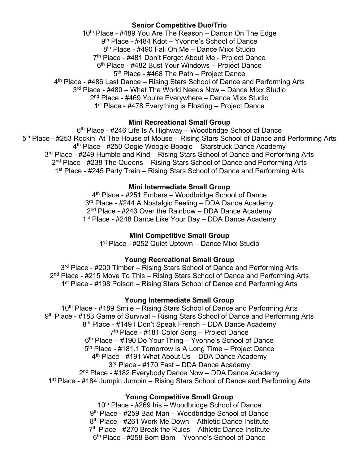## **Senior Competitive Duo/Trio**

10<sup>th</sup> Place - #489 You Are The Reason – Dancin On The Edge 9th Place - #484 Kdot – Yvonne's School of Dance 8<sup>th</sup> Place - #490 Fall On Me – Dance Mixx Studio 7<sup>th</sup> Place - #481 Don't Forget About Me - Project Dance 6<sup>th</sup> Place - #482 Bust Your Windows – Project Dance 5<sup>th</sup> Place - #468 The Path – Project Dance 4th Place - #486 Last Dance – Rising Stars School of Dance and Performing Arts 3<sup>rd</sup> Place - #480 – What The World Needs Now – Dance Mixx Studio 2<sup>nd</sup> Place - #469 You're Everywhere – Dance Mixx Studio 1<sup>st</sup> Place - #478 Everything is Floating – Project Dance

### **Mini Recreational Small Group**

 $6<sup>th</sup>$  Place - #246 Life Is A Highway – Woodbridge School of Dance 5th Place - #253 Rockin' At The House of Mouse – Rising Stars School of Dance and Performing Arts 4th Place - #250 Oogie Woogie Boogie – Starstruck Dance Academy 3<sup>rd</sup> Place - #249 Humble and Kind – Rising Stars School of Dance and Performing Arts 2<sup>nd</sup> Place - #238 The Queens – Rising Stars School of Dance and Performing Arts 1<sup>st</sup> Place - #245 Party Train – Rising Stars School of Dance and Performing Arts

### **Mini Intermediate Small Group**

4<sup>th</sup> Place - #251 Embers – Woodbridge School of Dance 3<sup>rd</sup> Place - #244 A Nostalgic Feeling - DDA Dance Academy 2<sup>nd</sup> Place - #243 Over the Rainbow – DDA Dance Academy 1<sup>st</sup> Place - #248 Dance Like Your Day – DDA Dance Academy

### **Mini Competitive Small Group**

1<sup>st</sup> Place - #252 Quiet Uptown – Dance Mixx Studio

### **Young Recreational Small Group**

3<sup>rd</sup> Place - #200 Timber – Rising Stars School of Dance and Performing Arts  $2<sup>nd</sup>$  Place - #215 Move To This – Rising Stars School of Dance and Performing Arts 1<sup>st</sup> Place - #198 Poison – Rising Stars School of Dance and Performing Arts

#### **Young Intermediate Small Group**

10<sup>th</sup> Place - #189 Smile – Rising Stars School of Dance and Performing Arts 9<sup>th</sup> Place - #183 Game of Survival – Rising Stars School of Dance and Performing Arts 8<sup>th</sup> Place - #149 I Don't Speak French – DDA Dance Academy 7th Place - #181 Color Song – Project Dance  $6<sup>th</sup>$  Place – #190 Do Your Thing – Yvonne's School of Dance 5<sup>th</sup> Place - #181.1 Tomorrow Is A Long Time – Project Dance 4<sup>th</sup> Place - #191 What About Us – DDA Dance Academy 3<sup>rd</sup> Place - #170 Fast – DDA Dance Academy 2<sup>nd</sup> Place - #182 Everybody Dance Now – DDA Dance Academy 1<sup>st</sup> Place - #184 Jumpin Jumpin – Rising Stars School of Dance and Performing Arts

#### **Young Competitive Small Group**

 $10<sup>th</sup>$  Place - #269 Iris – Woodbridge School of Dance 9th Place - #259 Bad Man – Woodbridge School of Dance 8<sup>th</sup> Place - #261 Work Me Down – Athletic Dance Institute  $7<sup>th</sup>$  Place - #270 Break the Rules – Athletic Dance Institute 6th Place - #258 Bom Bom – Yvonne's School of Dance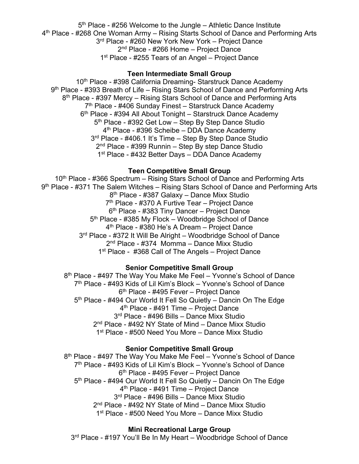$5<sup>th</sup>$  Place - #256 Welcome to the Jungle – Athletic Dance Institute 4th Place - #268 One Woman Army – Rising Starts School of Dance and Performing Arts 3<sup>rd</sup> Place - #260 New York New York – Project Dance 2<sup>nd</sup> Place - #266 Home - Project Dance 1<sup>st</sup> Place - #255 Tears of an Angel – Project Dance

### **Teen Intermediate Small Group**

10<sup>th</sup> Place - #398 California Dreaming- Starstruck Dance Academy 9th Place - #393 Breath of Life – Rising Stars School of Dance and Performing Arts 8<sup>th</sup> Place - #397 Mercy – Rising Stars School of Dance and Performing Arts  $7<sup>th</sup>$  Place - #406 Sunday Finest – Starstruck Dance Academy 6<sup>th</sup> Place - #394 All About Tonight – Starstruck Dance Academy 5<sup>th</sup> Place - #392 Get Low – Step By Step Dance Studio 4<sup>th</sup> Place - #396 Scheibe – DDA Dance Academy 3<sup>rd</sup> Place - #406.1 It's Time – Step By Step Dance Studio 2nd Place - #399 Runnin – Step By step Dance Studio 1<sup>st</sup> Place - #432 Better Days – DDA Dance Academy

### **Teen Competitive Small Group**

10<sup>th</sup> Place - #366 Spectrum – Rising Stars School of Dance and Performing Arts 9<sup>th</sup> Place - #371 The Salem Witches – Rising Stars School of Dance and Performing Arts 8th Place - #387 Galaxy – Dance Mixx Studio 7<sup>th</sup> Place - #370 A Furtive Tear – Project Dance 6th Place - #383 Tiny Dancer – Project Dance 5<sup>th</sup> Place - #385 My Flock – Woodbridge School of Dance 4<sup>th</sup> Place - #380 He's A Dream - Project Dance 3<sup>rd</sup> Place - #372 It Will Be Alright – Woodbridge School of Dance 2nd Place - #374 Momma – Dance Mixx Studio 1<sup>st</sup> Place - #368 Call of The Angels – Project Dance

### **Senior Competitive Small Group**

8<sup>th</sup> Place - #497 The Way You Make Me Feel – Yvonne's School of Dance 7th Place - #493 Kids of Lil Kim's Block – Yvonne's School of Dance 6th Place - #495 Fever – Project Dance 5<sup>th</sup> Place - #494 Our World It Fell So Quietly – Dancin On The Edge 4<sup>th</sup> Place - #491 Time – Project Dance 3rd Place - #496 Bills – Dance Mixx Studio 2<sup>nd</sup> Place - #492 NY State of Mind - Dance Mixx Studio 1<sup>st</sup> Place - #500 Need You More – Dance Mixx Studio

#### **Senior Competitive Small Group**

8<sup>th</sup> Place - #497 The Way You Make Me Feel – Yvonne's School of Dance 7th Place - #493 Kids of Lil Kim's Block – Yvonne's School of Dance 6th Place - #495 Fever – Project Dance 5<sup>th</sup> Place - #494 Our World It Fell So Quietly – Dancin On The Edge 4<sup>th</sup> Place - #491 Time – Project Dance 3<sup>rd</sup> Place - #496 Bills – Dance Mixx Studio 2nd Place - #492 NY State of Mind – Dance Mixx Studio 1<sup>st</sup> Place - #500 Need You More – Dance Mixx Studio

### **Mini Recreational Large Group**

3<sup>rd</sup> Place - #197 You'll Be In My Heart – Woodbridge School of Dance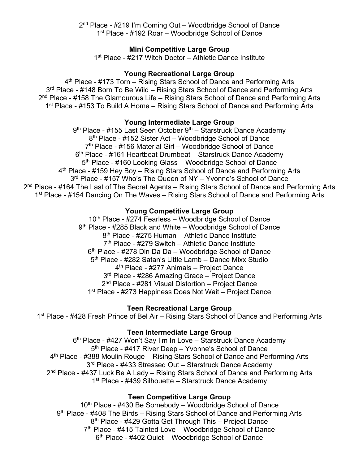2nd Place - #219 I'm Coming Out – Woodbridge School of Dance 1<sup>st</sup> Place - #192 Roar – Woodbridge School of Dance

### **Mini Competitive Large Group**

1<sup>st</sup> Place - #217 Witch Doctor – Athletic Dance Institute

### **Young Recreational Large Group**

4th Place - #173 Torn – Rising Stars School of Dance and Performing Arts 3<sup>rd</sup> Place - #148 Born To Be Wild – Rising Stars School of Dance and Performing Arts  $2<sup>nd</sup>$  Place - #158 The Glamourous Life – Rising Stars School of Dance and Performing Arts 1<sup>st</sup> Place - #153 To Build A Home – Rising Stars School of Dance and Performing Arts

#### **Young Intermediate Large Group**

 $9<sup>th</sup>$  Place - #155 Last Seen October  $9<sup>th</sup>$  – Starstruck Dance Academy 8<sup>th</sup> Place - #152 Sister Act – Woodbridge School of Dance  $7<sup>th</sup>$  Place - #156 Material Girl – Woodbridge School of Dance 6<sup>th</sup> Place - #161 Heartbeat Drumbeat – Starstruck Dance Academy 5th Place - #160 Looking Glass – Woodbridge School of Dance 4th Place - #159 Hey Boy – Rising Stars School of Dance and Performing Arts 3<sup>rd</sup> Place - #157 Who's The Queen of NY - Yvonne's School of Dance 2<sup>nd</sup> Place - #164 The Last of The Secret Agents – Rising Stars School of Dance and Performing Arts 1<sup>st</sup> Place - #154 Dancing On The Waves - Rising Stars School of Dance and Performing Arts

### **Young Competitive Large Group**

10<sup>th</sup> Place - #274 Fearless – Woodbridge School of Dance 9th Place - #285 Black and White – Woodbridge School of Dance 8<sup>th</sup> Place - #275 Human – Athletic Dance Institute 7th Place - #279 Switch – Athletic Dance Institute 6<sup>th</sup> Place - #278 Din Da Da – Woodbridge School of Dance 5<sup>th</sup> Place - #282 Satan's Little Lamb – Dance Mixx Studio 4th Place - #277 Animals – Project Dance 3<sup>rd</sup> Place - #286 Amazing Grace – Project Dance 2<sup>nd</sup> Place - #281 Visual Distortion – Project Dance 1<sup>st</sup> Place - #273 Happiness Does Not Wait – Project Dance

#### **Teen Recreational Large Group**

1<sup>st</sup> Place - #428 Fresh Prince of Bel Air – Rising Stars School of Dance and Performing Arts

#### **Teen Intermediate Large Group**

6<sup>th</sup> Place - #427 Won't Say I'm In Love – Starstruck Dance Academy 5<sup>th</sup> Place - #417 River Deep – Yvonne's School of Dance 4th Place - #388 Moulin Rouge – Rising Stars School of Dance and Performing Arts 3<sup>rd</sup> Place - #433 Stressed Out - Starstruck Dance Academy 2<sup>nd</sup> Place - #437 Luck Be A Lady – Rising Stars School of Dance and Performing Arts 1<sup>st</sup> Place - #439 Silhouette – Starstruck Dance Academy

#### **Teen Competitive Large Group**

 $10<sup>th</sup>$  Place - #430 Be Somebody – Woodbridge School of Dance 9<sup>th</sup> Place - #408 The Birds – Rising Stars School of Dance and Performing Arts 8<sup>th</sup> Place - #429 Gotta Get Through This – Project Dance 7<sup>th</sup> Place - #415 Tainted Love – Woodbridge School of Dance 6th Place - #402 Quiet – Woodbridge School of Dance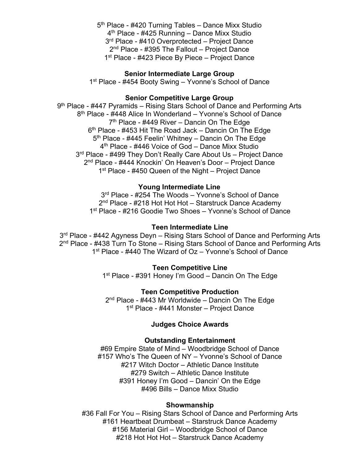5<sup>th</sup> Place - #420 Turning Tables – Dance Mixx Studio 4th Place - #425 Running – Dance Mixx Studio 3<sup>rd</sup> Place - #410 Overprotected – Project Dance 2<sup>nd</sup> Place - #395 The Fallout – Project Dance 1<sup>st</sup> Place - #423 Piece By Piece – Project Dance

#### **Senior Intermediate Large Group**

1<sup>st</sup> Place - #454 Booty Swing – Yvonne's School of Dance

#### **Senior Competitive Large Group**

9<sup>th</sup> Place - #447 Pyramids – Rising Stars School of Dance and Performing Arts 8th Place - #448 Alice In Wonderland – Yvonne's School of Dance  $7<sup>th</sup>$  Place - #449 River – Dancin On The Edge  $6<sup>th</sup>$  Place - #453 Hit The Road Jack – Dancin On The Edge  $5<sup>th</sup>$  Place - #445 Feelin' Whitney – Dancin On The Edge 4<sup>th</sup> Place - #446 Voice of God – Dance Mixx Studio 3<sup>rd</sup> Place - #499 They Don't Really Care About Us - Project Dance 2nd Place - #444 Knockin' On Heaven's Door – Project Dance 1<sup>st</sup> Place - #450 Queen of the Night – Project Dance

#### **Young Intermediate Line**

3<sup>rd</sup> Place - #254 The Woods – Yvonne's School of Dance 2<sup>nd</sup> Place - #218 Hot Hot Hot – Starstruck Dance Academy 1<sup>st</sup> Place - #216 Goodie Two Shoes – Yvonne's School of Dance

#### **Teen Intermediate Line**

3<sup>rd</sup> Place - #442 Agyness Deyn – Rising Stars School of Dance and Performing Arts 2<sup>nd</sup> Place - #438 Turn To Stone – Rising Stars School of Dance and Performing Arts 1<sup>st</sup> Place - #440 The Wizard of Oz – Yvonne's School of Dance

#### **Teen Competitive Line**

1<sup>st</sup> Place - #391 Honey I'm Good – Dancin On The Edge

#### **Teen Competitive Production**

2<sup>nd</sup> Place - #443 Mr Worldwide – Dancin On The Edge 1<sup>st</sup> Place - #441 Monster – Project Dance

#### **Judges Choice Awards**

#### **Outstanding Entertainment**

#69 Empire State of Mind – Woodbridge School of Dance #157 Who's The Queen of NY – Yvonne's School of Dance #217 Witch Doctor – Athletic Dance Institute #279 Switch – Athletic Dance Institute #391 Honey I'm Good – Dancin' On the Edge #496 Bills – Dance Mixx Studio

#### **Showmanship**

#36 Fall For You – Rising Stars School of Dance and Performing Arts #161 Heartbeat Drumbeat – Starstruck Dance Academy #156 Material Girl – Woodbridge School of Dance #218 Hot Hot Hot - Starstruck Dance Academy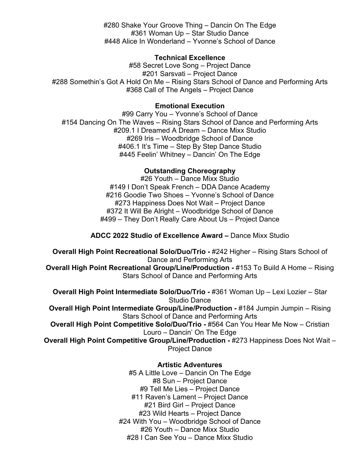#280 Shake Your Groove Thing – Dancin On The Edge #361 Woman Up – Star Studio Dance #448 Alice In Wonderland – Yvonne's School of Dance

#### **Technical Excellence**

#58 Secret Love Song – Project Dance #201 Sarsvati – Project Dance #288 Somethin's Got A Hold On Me – Rising Stars School of Dance and Performing Arts #368 Call of The Angels – Project Dance

#### **Emotional Execution**

#99 Carry You – Yvonne's School of Dance #154 Dancing On The Waves – Rising Stars School of Dance and Performing Arts #209.1 I Dreamed A Dream – Dance Mixx Studio #269 Iris – Woodbridge School of Dance #406.1 It's Time – Step By Step Dance Studio #445 Feelin' Whitney – Dancin' On The Edge

#### **Outstanding Choreography**

#26 Youth – Dance Mixx Studio #149 I Don't Speak French – DDA Dance Academy #216 Goodie Two Shoes – Yvonne's School of Dance #273 Happiness Does Not Wait – Project Dance #372 It Will Be Alright – Woodbridge School of Dance #499 – They Don't Really Care About Us – Project Dance

## **ADCC 2022 Studio of Excellence Award –** Dance Mixx Studio

**Overall High Point Recreational Solo/Duo/Trio -** #242 Higher – Rising Stars School of Dance and Performing Arts

**Overall High Point Recreational Group/Line/Production - #153 To Build A Home – Rising** Stars School of Dance and Performing Arts

**Overall High Point Intermediate Solo/Duo/Trio -** #361 Woman Up – Lexi Lozier – Star Studio Dance

**Overall High Point Intermediate Group/Line/Production - #184 Jumpin Jumpin – Rising** Stars School of Dance and Performing Arts

**Overall High Point Competitive Solo/Duo/Trio -** #564 Can You Hear Me Now – Cristian Louro – Dancin' On The Edge

**Overall High Point Competitive Group/Line/Production -** #273 Happiness Does Not Wait – Project Dance

### **Artistic Adventures**

#5 A Little Love – Dancin On The Edge #8 Sun – Project Dance #9 Tell Me Lies – Project Dance #11 Raven's Lament – Project Dance #21 Bird Girl – Project Dance #23 Wild Hearts – Project Dance #24 With You – Woodbridge School of Dance #26 Youth – Dance Mixx Studio #28 I Can See You – Dance Mixx Studio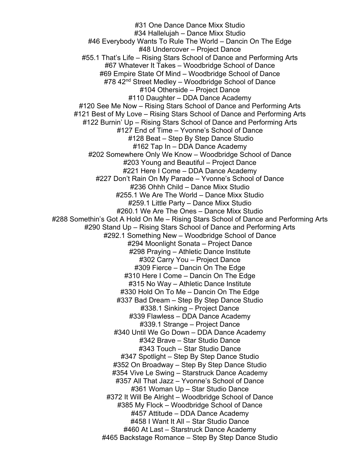#31 One Dance Dance Mixx Studio #34 Hallelujah – Dance Mixx Studio #46 Everybody Wants To Rule The World – Dancin On The Edge #48 Undercover – Project Dance #55.1 That's Life – Rising Stars School of Dance and Performing Arts #67 Whatever It Takes – Woodbridge School of Dance #69 Empire State Of Mind – Woodbridge School of Dance #78 42<sup>nd</sup> Street Medley – Woodbridge School of Dance #104 Otherside – Project Dance #110 Daughter – DDA Dance Academy #120 See Me Now – Rising Stars School of Dance and Performing Arts #121 Best of My Love – Rising Stars School of Dance and Performing Arts #122 Burnin' Up – Rising Stars School of Dance and Performing Arts #127 End of Time – Yvonne's School of Dance #128 Beat – Step By Step Dance Studio #162 Tap In – DDA Dance Academy #202 Somewhere Only We Know – Woodbridge School of Dance #203 Young and Beautiful – Project Dance #221 Here I Come – DDA Dance Academy #227 Don't Rain On My Parade – Yvonne's School of Dance #236 Ohhh Child – Dance Mixx Studio #255.1 We Are The World – Dance Mixx Studio #259.1 Little Party – Dance Mixx Studio #260.1 We Are The Ones – Dance Mixx Studio #288 Somethin's Got A Hold On Me – Rising Stars School of Dance and Performing Arts #290 Stand Up – Rising Stars School of Dance and Performing Arts #292.1 Something New – Woodbridge School of Dance #294 Moonlight Sonata – Project Dance #298 Praying – Athletic Dance Institute #302 Carry You – Project Dance #309 Fierce – Dancin On The Edge #310 Here I Come – Dancin On The Edge #315 No Way – Athletic Dance Institute #330 Hold On To Me – Dancin On The Edge #337 Bad Dream – Step By Step Dance Studio #338.1 Sinking – Project Dance #339 Flawless – DDA Dance Academy #339.1 Strange – Project Dance #340 Until We Go Down – DDA Dance Academy #342 Brave – Star Studio Dance #343 Touch – Star Studio Dance #347 Spotlight – Step By Step Dance Studio #352 On Broadway – Step By Step Dance Studio #354 Vive Le Swing – Starstruck Dance Academy #357 All That Jazz – Yvonne's School of Dance #361 Woman Up – Star Studio Dance #372 It Will Be Alright – Woodbridge School of Dance #385 My Flock – Woodbridge School of Dance #457 Attitude – DDA Dance Academy #458 I Want It All – Star Studio Dance #460 At Last – Starstruck Dance Academy #465 Backstage Romance – Step By Step Dance Studio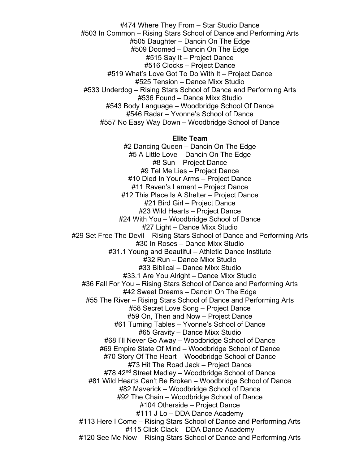#474 Where They From – Star Studio Dance #503 In Common – Rising Stars School of Dance and Performing Arts #505 Daughter – Dancin On The Edge #509 Doomed – Dancin On The Edge #515 Say It – Project Dance #516 Clocks – Project Dance #519 What's Love Got To Do With It – Project Dance #525 Tension – Dance Mixx Studio #533 Underdog – Rising Stars School of Dance and Performing Arts #536 Found – Dance Mixx Studio #543 Body Language – Woodbridge School Of Dance #546 Radar – Yvonne's School of Dance #557 No Easy Way Down – Woodbridge School of Dance

#### **Elite Team**

#2 Dancing Queen – Dancin On The Edge #5 A Little Love – Dancin On The Edge #8 Sun – Project Dance #9 Tel Me Lies – Project Dance #10 Died In Your Arms – Project Dance #11 Raven's Lament – Project Dance #12 This Place Is A Shelter – Project Dance #21 Bird Girl – Project Dance #23 Wild Hearts – Project Dance #24 With You – Woodbridge School of Dance #27 Light – Dance Mixx Studio #29 Set Free The Devil – Rising Stars School of Dance and Performing Arts #30 In Roses – Dance Mixx Studio #31.1 Young and Beautiful – Athletic Dance Institute #32 Run – Dance Mixx Studio #33 Biblical – Dance Mixx Studio #33.1 Are You Alright – Dance Mixx Studio #36 Fall For You – Rising Stars School of Dance and Performing Arts #42 Sweet Dreams – Dancin On The Edge #55 The River – Rising Stars School of Dance and Performing Arts #58 Secret Love Song – Project Dance #59 On, Then and Now – Project Dance #61 Turning Tables – Yvonne's School of Dance #65 Gravity – Dance Mixx Studio #68 I'll Never Go Away – Woodbridge School of Dance #69 Empire State Of Mind – Woodbridge School of Dance #70 Story Of The Heart – Woodbridge School of Dance #73 Hit The Road Jack – Project Dance #78 42<sup>nd</sup> Street Medley – Woodbridge School of Dance #81 Wild Hearts Can't Be Broken – Woodbridge School of Dance #82 Maverick – Woodbridge School of Dance #92 The Chain – Woodbridge School of Dance #104 Otherside – Project Dance #111 J Lo – DDA Dance Academy #113 Here I Come – Rising Stars School of Dance and Performing Arts #115 Click Clack – DDA Dance Academy #120 See Me Now – Rising Stars School of Dance and Performing Arts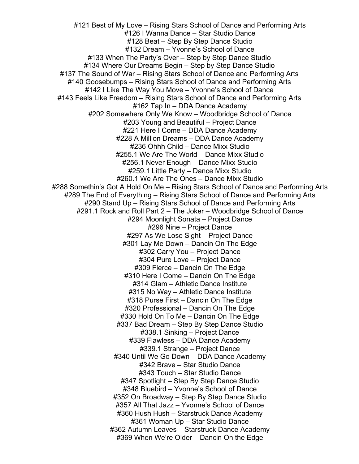#121 Best of My Love – Rising Stars School of Dance and Performing Arts #126 I Wanna Dance – Star Studio Dance #128 Beat – Step By Step Dance Studio #132 Dream – Yvonne's School of Dance #133 When The Party's Over – Step by Step Dance Studio #134 Where Our Dreams Begin – Step by Step Dance Studio #137 The Sound of War – Rising Stars School of Dance and Performing Arts #140 Goosebumps – Rising Stars School of Dance and Performing Arts #142 I Like The Way You Move – Yvonne's School of Dance #143 Feels Like Freedom – Rising Stars School of Dance and Performing Arts #162 Tap In – DDA Dance Academy #202 Somewhere Only We Know – Woodbridge School of Dance #203 Young and Beautiful – Project Dance #221 Here I Come – DDA Dance Academy #228 A Million Dreams – DDA Dance Academy #236 Ohhh Child – Dance Mixx Studio #255.1 We Are The World – Dance Mixx Studio #256.1 Never Enough – Dance Mixx Studio #259.1 Little Party – Dance Mixx Studio #260.1 We Are The Ones – Dance Mixx Studio #288 Somethin's Got A Hold On Me – Rising Stars School of Dance and Performing Arts #289 The End of Everything – Rising Stars School of Dance and Performing Arts #290 Stand Up – Rising Stars School of Dance and Performing Arts #291.1 Rock and Roll Part 2 – The Joker – Woodbridge School of Dance #294 Moonlight Sonata – Project Dance #296 Nine – Project Dance #297 As We Lose Sight – Project Dance #301 Lay Me Down – Dancin On The Edge #302 Carry You – Project Dance #304 Pure Love – Project Dance #309 Fierce – Dancin On The Edge #310 Here I Come – Dancin On The Edge #314 Glam – Athletic Dance Institute #315 No Way – Athletic Dance Institute #318 Purse First – Dancin On The Edge #320 Professional – Dancin On The Edge #330 Hold On To Me – Dancin On The Edge #337 Bad Dream – Step By Step Dance Studio #338.1 Sinking – Project Dance #339 Flawless – DDA Dance Academy #339.1 Strange – Project Dance #340 Until We Go Down – DDA Dance Academy #342 Brave – Star Studio Dance #343 Touch – Star Studio Dance #347 Spotlight – Step By Step Dance Studio #348 Bluebird – Yvonne's School of Dance #352 On Broadway – Step By Step Dance Studio #357 All That Jazz – Yvonne's School of Dance #360 Hush Hush – Starstruck Dance Academy #361 Woman Up – Star Studio Dance #362 Autumn Leaves – Starstruck Dance Academy #369 When We're Older – Dancin On the Edge